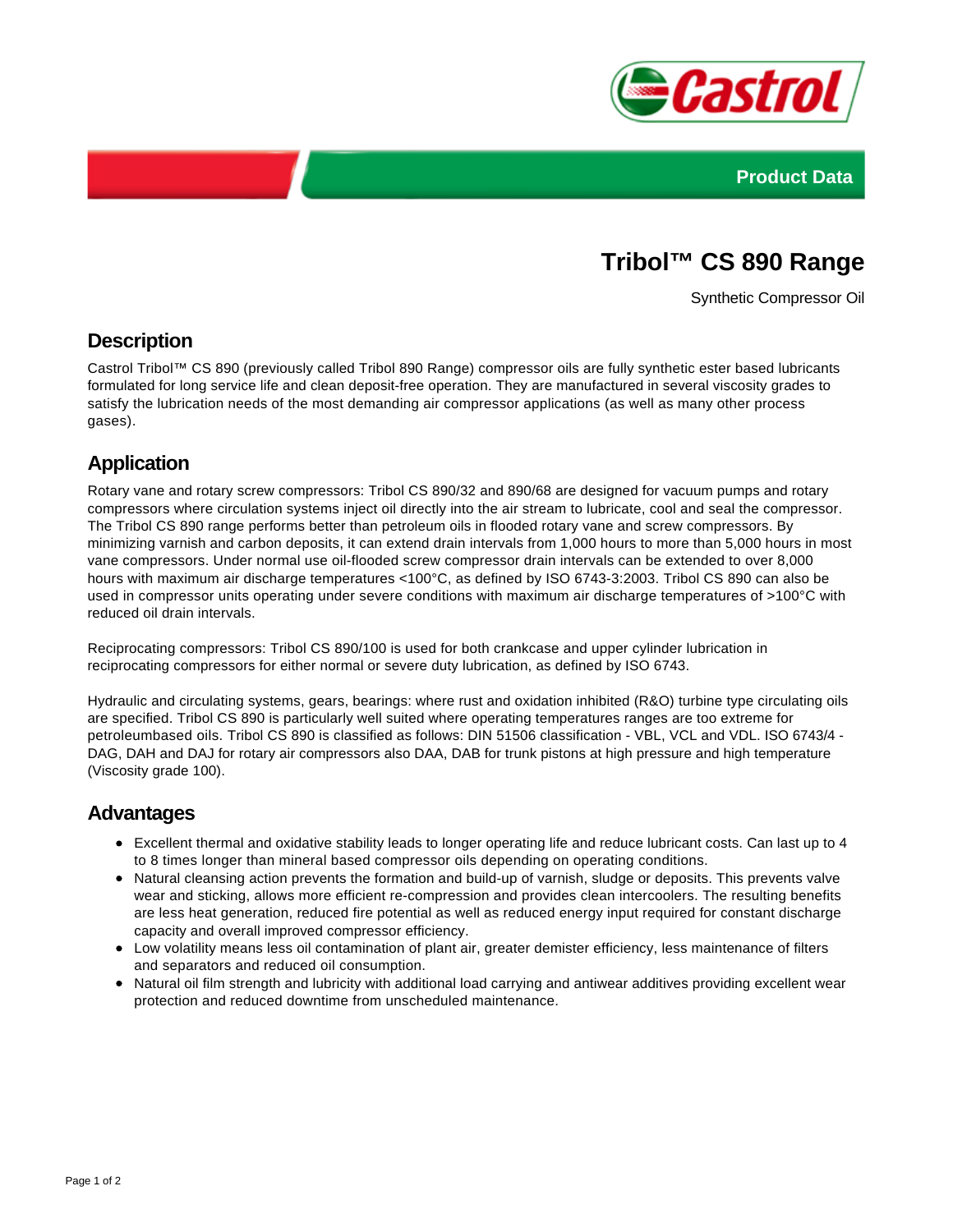



# **Tribol™ CS 890 Range**

Synthetic Compressor Oil

#### **Description**

Castrol Tribol™ CS 890 (previously called Tribol 890 Range) compressor oils are fully synthetic ester based lubricants formulated for long service life and clean deposit-free operation. They are manufactured in several viscosity grades to satisfy the lubrication needs of the most demanding air compressor applications (as well as many other process gases).

## **Application**

Rotary vane and rotary screw compressors: Tribol CS 890/32 and 890/68 are designed for vacuum pumps and rotary compressors where circulation systems inject oil directly into the air stream to lubricate, cool and seal the compressor. The Tribol CS 890 range performs better than petroleum oils in flooded rotary vane and screw compressors. By minimizing varnish and carbon deposits, it can extend drain intervals from 1,000 hours to more than 5,000 hours in most vane compressors. Under normal use oil-flooded screw compressor drain intervals can be extended to over 8,000 hours with maximum air discharge temperatures <100°C, as defined by ISO 6743-3:2003. Tribol CS 890 can also be used in compressor units operating under severe conditions with maximum air discharge temperatures of >100°C with reduced oil drain intervals.

Reciprocating compressors: Tribol CS 890/100 is used for both crankcase and upper cylinder lubrication in reciprocating compressors for either normal or severe duty lubrication, as defined by ISO 6743.

Hydraulic and circulating systems, gears, bearings: where rust and oxidation inhibited (R&O) turbine type circulating oils are specified. Tribol CS 890 is particularly well suited where operating temperatures ranges are too extreme for petroleumbased oils. Tribol CS 890 is classified as follows: DIN 51506 classification - VBL, VCL and VDL. ISO 6743/4 - DAG, DAH and DAJ for rotary air compressors also DAA, DAB for trunk pistons at high pressure and high temperature (Viscosity grade 100).

#### **Advantages**

- Excellent thermal and oxidative stability leads to longer operating life and reduce lubricant costs. Can last up to 4 to 8 times longer than mineral based compressor oils depending on operating conditions.
- Natural cleansing action prevents the formation and build-up of varnish, sludge or deposits. This prevents valve wear and sticking, allows more efficient re-compression and provides clean intercoolers. The resulting benefits are less heat generation, reduced fire potential as well as reduced energy input required for constant discharge capacity and overall improved compressor efficiency.
- Low volatility means less oil contamination of plant air, greater demister efficiency, less maintenance of filters and separators and reduced oil consumption.
- Natural oil film strength and lubricity with additional load carrying and antiwear additives providing excellent wear protection and reduced downtime from unscheduled maintenance.